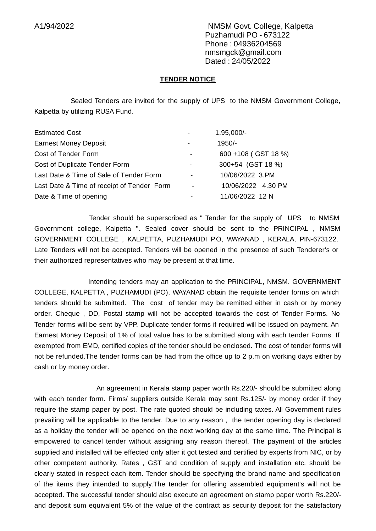A1/94/2022 NMSM Govt. College, Kalpetta Puzhamudi PO - 673122 Phone : 04936204569 nmsmgck@gmail.com Dated : 24/05/2022

#### **TENDER NOTICE**

Sealed Tenders are invited for the supply of UPS to the NMSM Government College, Kalpetta by utilizing RUSA Fund.

| <b>Estimated Cost</b>                      |                          | 1,95,000/-          |
|--------------------------------------------|--------------------------|---------------------|
| <b>Earnest Money Deposit</b>               |                          | 1950/-              |
| Cost of Tender Form                        |                          | 600 +108 (GST 18 %) |
| Cost of Duplicate Tender Form              |                          | 300+54 (GST 18 %)   |
| Last Date & Time of Sale of Tender Form    | ۰                        | 10/06/2022 3.PM     |
| Last Date & Time of receipt of Tender Form | $\overline{\phantom{a}}$ | 10/06/2022 4.30 PM  |
| Date & Time of opening                     |                          | 11/06/2022 12 N     |

Tender should be superscribed as " Tender for the supply of UPS to NMSM Government college, Kalpetta ". Sealed cover should be sent to the PRINCIPAL , NMSM GOVERNMENT COLLEGE , KALPETTA, PUZHAMUDI P.O, WAYANAD , KERALA, PIN-673122. Late Tenders will not be accepted. Tenders will be opened in the presence of such Tenderer's or their authorized representatives who may be present at that time.

Intending tenders may an application to the PRINCIPAL, NMSM. GOVERNMENT COLLEGE, KALPETTA , PUZHAMUDI (PO), WAYANAD obtain the requisite tender forms on which tenders should be submitted. The cost of tender may be remitted either in cash or by money order. Cheque , DD, Postal stamp will not be accepted towards the cost of Tender Forms. No Tender forms will be sent by VPP. Duplicate tender forms if required will be issued on payment. An Earnest Money Deposit of 1% of total value has to be submitted along with each tender Forms. If exempted from EMD, certified copies of the tender should be enclosed. The cost of tender forms will not be refunded.The tender forms can be had from the office up to 2 p.m on working days either by cash or by money order.

An agreement in Kerala stamp paper worth Rs.220/- should be submitted along with each tender form. Firms/ suppliers outside Kerala may sent Rs.125/- by money order if they require the stamp paper by post. The rate quoted should be including taxes. All Government rules prevailing will be applicable to the tender. Due to any reason , the tender opening day is declared as a holiday the tender will be opened on the next working day at the same time. The Principal is empowered to cancel tender without assigning any reason thereof. The payment of the articles supplied and installed will be effected only after it got tested and certified by experts from NIC, or by other competent authority. Rates , GST and condition of supply and installation etc. should be clearly stated in respect each item. Tender should be specifying the brand name and specification of the items they intended to supply.The tender for offering assembled equipment's will not be accepted. The successful tender should also execute an agreement on stamp paper worth Rs.220/ and deposit sum equivalent 5% of the value of the contract as security deposit for the satisfactory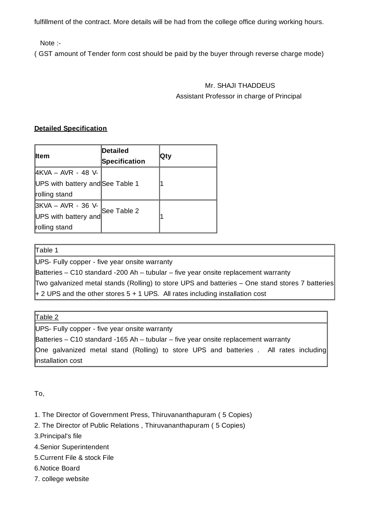fulfillment of the contract. More details will be had from the college office during working hours.

Note :-

( GST amount of Tender form cost should be paid by the buyer through reverse charge mode)

## Mr. SHAJI THADDEUS Assistant Professor in charge of Principal

### **Detailed Specification**

| <b>I</b> tem                     | Detailed<br>Specification | ∣Qty |
|----------------------------------|---------------------------|------|
| 4KVA - AVR - 48 V-               |                           |      |
| UPS with battery and See Table 1 |                           |      |
| rolling stand                    |                           |      |
| 3KVA – AVR - 36 V-               |                           |      |
| UPS with battery and             | See Table 2               |      |
| rolling stand                    |                           |      |

#### Table 1

UPS- Fully copper - five year onsite warranty

Batteries – C10 standard -200 Ah – tubular – five year onsite replacement warranty

Two galvanized metal stands (Rolling) to store UPS and batteries – One stand stores 7 batteries

 $+$  2 UPS and the other stores 5 + 1 UPS. All rates including installation cost

| able |  |
|------|--|
|      |  |

UPS- Fully copper - five year onsite warranty

Batteries – C10 standard -165 Ah – tubular – five year onsite replacement warranty One galvanized metal stand (Rolling) to store UPS and batteries . All rates including installation cost

To,

- 1. The Director of Government Press, Thiruvananthapuram ( 5 Copies)
- 2. The Director of Public Relations , Thiruvananthapuram ( 5 Copies)
- 3.Principal's file
- 4.Senior Superintendent
- 5.Current File & stock File
- 6.Notice Board
- 7. college website